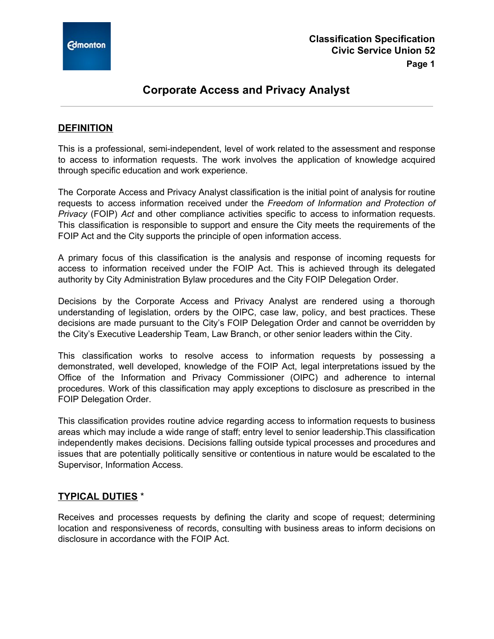

# **Corporate Access and Privacy Analyst**

## **DEFINITION**

This is a professional, semi-independent, level of work related to the assessment and response to access to information requests. The work involves the application of knowledge acquired through specific education and work experience.

The Corporate Access and Privacy Analyst classification is the initial point of analysis for routine requests to access information received under the *Freedom of Information and Protection of Privacy* (FOIP) *Act* and other compliance activities specific to access to information requests. This classification is responsible to support and ensure the City meets the requirements of the FOIP Act and the City supports the principle of open information access.

A primary focus of this classification is the analysis and response of incoming requests for access to information received under the FOIP Act. This is achieved through its delegated authority by City Administration Bylaw procedures and the City FOIP Delegation Order.

Decisions by the Corporate Access and Privacy Analyst are rendered using a thorough understanding of legislation, orders by the OIPC, case law, policy, and best practices. These decisions are made pursuant to the City's FOIP Delegation Order and cannot be overridden by the City's Executive Leadership Team, Law Branch, or other senior leaders within the City.

This classification works to resolve access to information requests by possessing a demonstrated, well developed, knowledge of the FOIP Act, legal interpretations issued by the Office of the Information and Privacy Commissioner (OIPC) and adherence to internal procedures. Work of this classification may apply exceptions to disclosure as prescribed in the FOIP Delegation Order.

This classification provides routine advice regarding access to information requests to business areas which may include a wide range of staff; entry level to senior leadership.This classification independently makes decisions. Decisions falling outside typical processes and procedures and issues that are potentially politically sensitive or contentious in nature would be escalated to the Supervisor, Information Access.

### **TYPICAL DUTIES** \*

Receives and processes requests by defining the clarity and scope of request; determining location and responsiveness of records, consulting with business areas to inform decisions on disclosure in accordance with the FOIP Act.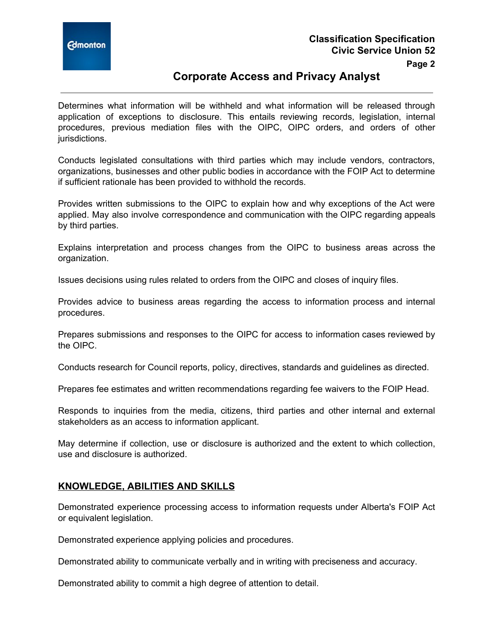

**Page 2**

# **Corporate Access and Privacy Analyst**

Determines what information will be withheld and what information will be released through application of exceptions to disclosure. This entails reviewing records, legislation, internal procedures, previous mediation files with the OIPC, OIPC orders, and orders of other jurisdictions.

Conducts legislated consultations with third parties which may include vendors, contractors, organizations, businesses and other public bodies in accordance with the FOIP Act to determine if sufficient rationale has been provided to withhold the records.

Provides written submissions to the OIPC to explain how and why exceptions of the Act were applied. May also involve correspondence and communication with the OIPC regarding appeals by third parties.

Explains interpretation and process changes from the OIPC to business areas across the organization.

Issues decisions using rules related to orders from the OIPC and closes of inquiry files.

Provides advice to business areas regarding the access to information process and internal procedures.

Prepares submissions and responses to the OIPC for access to information cases reviewed by the OIPC.

Conducts research for Council reports, policy, directives, standards and guidelines as directed.

Prepares fee estimates and written recommendations regarding fee waivers to the FOIP Head.

Responds to inquiries from the media, citizens, third parties and other internal and external stakeholders as an access to information applicant.

May determine if collection, use or disclosure is authorized and the extent to which collection, use and disclosure is authorized.

### **KNOWLEDGE, ABILITIES AND SKILLS**

Demonstrated experience processing access to information requests under Alberta's FOIP Act or equivalent legislation.

Demonstrated experience applying policies and procedures.

Demonstrated ability to communicate verbally and in writing with preciseness and accuracy.

Demonstrated ability to commit a high degree of attention to detail.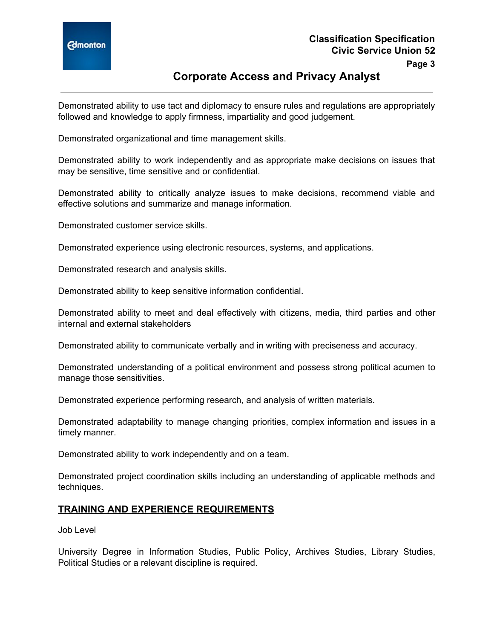

# **Corporate Access and Privacy Analyst**

Demonstrated ability to use tact and diplomacy to ensure rules and regulations are appropriately followed and knowledge to apply firmness, impartiality and good judgement.

Demonstrated organizational and time management skills.

Demonstrated ability to work independently and as appropriate make decisions on issues that may be sensitive, time sensitive and or confidential.

Demonstrated ability to critically analyze issues to make decisions, recommend viable and effective solutions and summarize and manage information.

Demonstrated customer service skills.

Demonstrated experience using electronic resources, systems, and applications.

Demonstrated research and analysis skills.

Demonstrated ability to keep sensitive information confidential.

Demonstrated ability to meet and deal effectively with citizens, media, third parties and other internal and external stakeholders

Demonstrated ability to communicate verbally and in writing with preciseness and accuracy.

Demonstrated understanding of a political environment and possess strong political acumen to manage those sensitivities.

Demonstrated experience performing research, and analysis of written materials.

Demonstrated adaptability to manage changing priorities, complex information and issues in a timely manner.

Demonstrated ability to work independently and on a team.

Demonstrated project coordination skills including an understanding of applicable methods and techniques.

### **TRAINING AND EXPERIENCE REQUIREMENTS**

#### Job Level

University Degree in Information Studies, Public Policy, Archives Studies, Library Studies, Political Studies or a relevant discipline is required.